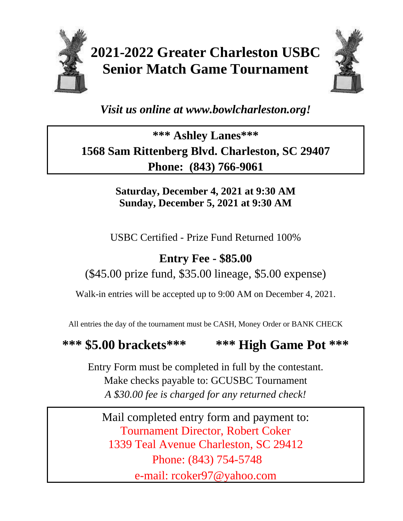

# **2021-2022 Greater Charleston USBC Senior Match Game Tournament**



## *Visit us online at www.bowlcharleston.org!*

## **\*\*\* Ashley Lanes\*\*\* 1568 Sam Rittenberg Blvd. Charleston, SC 29407 Phone: (843) 766-9061**

#### **Saturday, December 4, 2021 at 9:30 AM Sunday, December 5, 2021 at 9:30 AM**

USBC Certified - Prize Fund Returned 100%

## **Entry Fee - \$85.00**

### (\$45.00 prize fund, \$35.00 lineage, \$5.00 expense)

Walk-in entries will be accepted up to 9:00 AM on December 4, 2021.

All entries the day of the tournament must be CASH, Money Order or BANK CHECK

## **\*\*\* \$5.00 brackets\*\*\* \*\*\* High Game Pot \*\*\***

Entry Form must be completed in full by the contestant. Make checks payable to: GCUSBC Tournament *A \$30.00 fee is charged for any returned check!*

Mail completed entry form and payment to: Tournament Director, Robert Coker 1339 Teal Avenue Charleston, SC 29412 Phone: (843) 754-5748 e-mail: rcoker97@yahoo.com